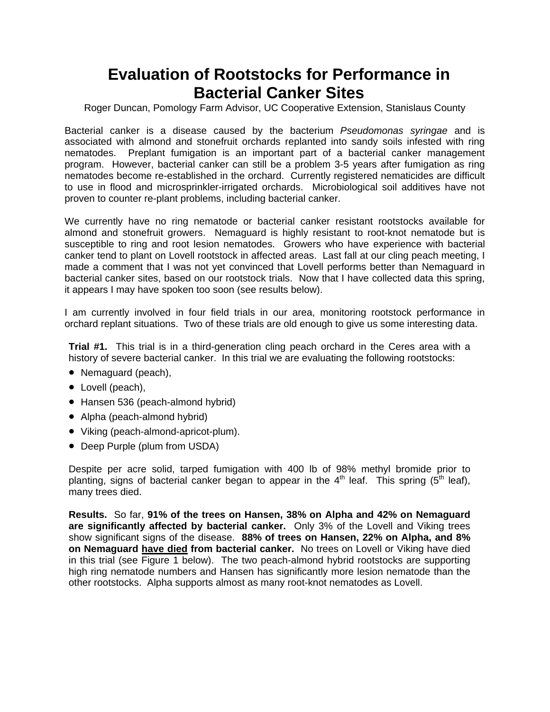### **Evaluation of Rootstocks for Performance in Bacterial Canker Sites**

Roger Duncan, Pomology Farm Advisor, UC Cooperative Extension, Stanislaus County

Bacterial canker is a disease caused by the bacterium *Pseudomonas syringae* and is associated with almond and stonefruit orchards replanted into sandy soils infested with ring nematodes. Preplant fumigation is an important part of a bacterial canker management program. However, bacterial canker can still be a problem 3-5 years after fumigation as ring nematodes become re-established in the orchard. Currently registered nematicides are difficult to use in flood and microsprinkler-irrigated orchards. Microbiological soil additives have not proven to counter re-plant problems, including bacterial canker.

We currently have no ring nematode or bacterial canker resistant rootstocks available for almond and stonefruit growers. Nemaguard is highly resistant to root-knot nematode but is susceptible to ring and root lesion nematodes. Growers who have experience with bacterial canker tend to plant on Lovell rootstock in affected areas. Last fall at our cling peach meeting, I made a comment that I was not yet convinced that Lovell performs better than Nemaguard in bacterial canker sites, based on our rootstock trials. Now that I have collected data this spring, it appears I may have spoken too soon (see results below).

I am currently involved in four field trials in our area, monitoring rootstock performance in orchard replant situations. Two of these trials are old enough to give us some interesting data.

**Trial #1.** This trial is in a third-generation cling peach orchard in the Ceres area with a history of severe bacterial canker. In this trial we are evaluating the following rootstocks:

- Nemaguard (peach),
- Lovell (peach),
- Hansen 536 (peach-almond hybrid)
- Alpha (peach-almond hybrid)
- Viking (peach-almond-apricot-plum).
- Deep Purple (plum from USDA)

Despite per acre solid, tarped fumigation with 400 lb of 98% methyl bromide prior to planting, signs of bacterial canker began to appear in the  $4<sup>th</sup>$  leaf. This spring ( $5<sup>th</sup>$  leaf), many trees died.

**Results.** So far, **91% of the trees on Hansen, 38% on Alpha and 42% on Nemaguard are significantly affected by bacterial canker.** Only 3% of the Lovell and Viking trees show significant signs of the disease. **88% of trees on Hansen, 22% on Alpha, and 8% on Nemaguard have died from bacterial canker.** No trees on Lovell or Viking have died in this trial (see Figure 1 below). The two peach-almond hybrid rootstocks are supporting high ring nematode numbers and Hansen has significantly more lesion nematode than the other rootstocks. Alpha supports almost as many root-knot nematodes as Lovell.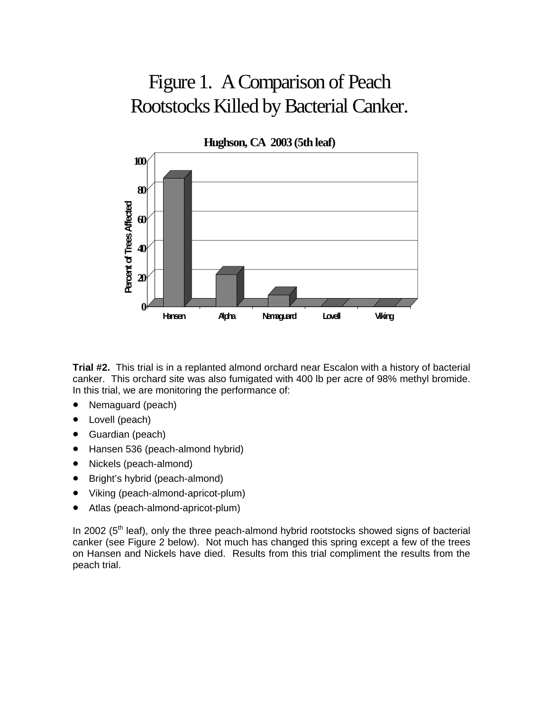# Figure 1. A Comparison of Peach Rootstocks Killed by Bacterial Canker.



**Trial #2.** This trial is in a replanted almond orchard near Escalon with a history of bacterial canker. This orchard site was also fumigated with 400 lb per acre of 98% methyl bromide. In this trial, we are monitoring the performance of:

- Nemaguard (peach)
- Lovell (peach)
- Guardian (peach)
- Hansen 536 (peach-almond hybrid)
- Nickels (peach-almond)
- Bright's hybrid (peach-almond)
- Viking (peach-almond-apricot-plum)
- Atlas (peach-almond-apricot-plum)

In 2002 ( $5<sup>th</sup>$  leaf), only the three peach-almond hybrid rootstocks showed signs of bacterial canker (see Figure 2 below). Not much has changed this spring except a few of the trees on Hansen and Nickels have died. Results from this trial compliment the results from the peach trial.